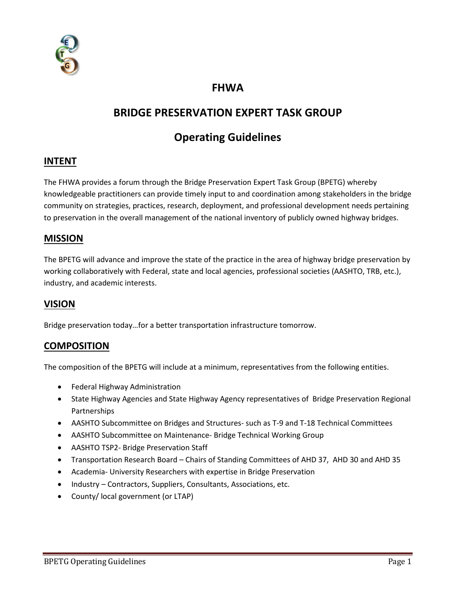

# **FHWA**

# **BRIDGE PRESERVATION EXPERT TASK GROUP**

# **Operating Guidelines**

#### **INTENT**

The FHWA provides a forum through the Bridge Preservation Expert Task Group (BPETG) whereby knowledgeable practitioners can provide timely input to and coordination among stakeholders in the bridge community on strategies, practices, research, deployment, and professional development needs pertaining to preservation in the overall management of the national inventory of publicly owned highway bridges.

#### **MISSION**

The BPETG will advance and improve the state of the practice in the area of highway bridge preservation by working collaboratively with Federal, state and local agencies, professional societies (AASHTO, TRB, etc.), industry, and academic interests.

#### **VISION**

Bridge preservation today…for a better transportation infrastructure tomorrow.

#### **COMPOSITION**

The composition of the BPETG will include at a minimum, representatives from the following entities.

- Federal Highway Administration
- State Highway Agencies and State Highway Agency representatives of Bridge Preservation Regional Partnerships
- AASHTO Subcommittee on Bridges and Structures- such as T-9 and T-18 Technical Committees
- AASHTO Subcommittee on Maintenance- Bridge Technical Working Group
- AASHTO TSP2- Bridge Preservation Staff
- Transportation Research Board Chairs of Standing Committees of AHD 37, AHD 30 and AHD 35
- Academia- University Researchers with expertise in Bridge Preservation
- Industry Contractors, Suppliers, Consultants, Associations, etc.
- County/ local government (or LTAP)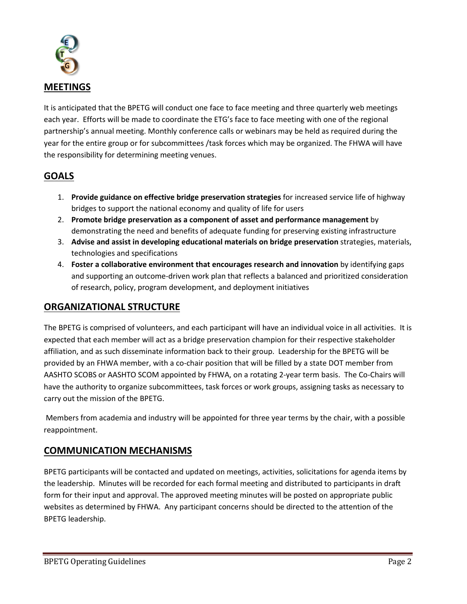

It is anticipated that the BPETG will conduct one face to face meeting and three quarterly web meetings each year. Efforts will be made to coordinate the ETG's face to face meeting with one of the regional partnership's annual meeting. Monthly conference calls or webinars may be held as required during the year for the entire group or for subcommittees /task forces which may be organized. The FHWA will have the responsibility for determining meeting venues.

# **GOALS**

- 1. **Provide guidance on effective bridge preservation strategies** for increased service life of highway bridges to support the national economy and quality of life for users
- 2. **Promote bridge preservation as a component of asset and performance management** by demonstrating the need and benefits of adequate funding for preserving existing infrastructure
- 3. **Advise and assist in developing educational materials on bridge preservation** strategies, materials, technologies and specifications
- 4. **Foster a collaborative environment that encourages research and innovation** by identifying gaps and supporting an outcome-driven work plan that reflects a balanced and prioritized consideration of research, policy, program development, and deployment initiatives

# **ORGANIZATIONAL STRUCTURE**

The BPETG is comprised of volunteers, and each participant will have an individual voice in all activities. It is expected that each member will act as a bridge preservation champion for their respective stakeholder affiliation, and as such disseminate information back to their group. Leadership for the BPETG will be provided by an FHWA member, with a co-chair position that will be filled by a state DOT member from AASHTO SCOBS or AASHTO SCOM appointed by FHWA, on a rotating 2-year term basis. The Co-Chairs will have the authority to organize subcommittees, task forces or work groups, assigning tasks as necessary to carry out the mission of the BPETG.

Members from academia and industry will be appointed for three year terms by the chair, with a possible reappointment.

#### **COMMUNICATION MECHANISMS**

BPETG participants will be contacted and updated on meetings, activities, solicitations for agenda items by the leadership. Minutes will be recorded for each formal meeting and distributed to participants in draft form for their input and approval. The approved meeting minutes will be posted on appropriate public websites as determined by FHWA. Any participant concerns should be directed to the attention of the BPETG leadership.